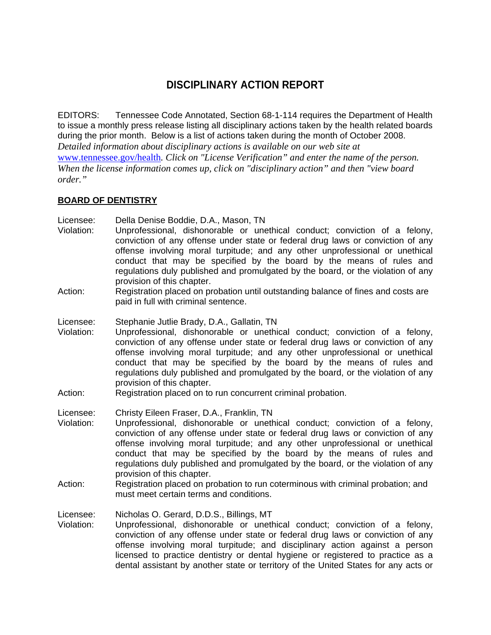# **DISCIPLINARY ACTION REPORT**

EDITORS: Tennessee Code Annotated, Section 68-1-114 requires the Department of Health to issue a monthly press release listing all disciplinary actions taken by the health related boards during the prior month. Below is a list of actions taken during the month of October 2008.

*Detailed information about disciplinary actions is available on our web site at* 

www.tennessee.gov/health*. Click on "License Verification" and enter the name of the person. When the license information comes up, click on "disciplinary action" and then "view board order."* 

## **BOARD OF DENTISTRY**

Licensee: Della Denise Boddie, D.A., Mason, TN

- Violation: Unprofessional, dishonorable or unethical conduct; conviction of a felony, conviction of any offense under state or federal drug laws or conviction of any offense involving moral turpitude; and any other unprofessional or unethical conduct that may be specified by the board by the means of rules and regulations duly published and promulgated by the board, or the violation of any provision of this chapter.
- Action: Registration placed on probation until outstanding balance of fines and costs are paid in full with criminal sentence.
- Licensee: Stephanie Jutlie Brady, D.A., Gallatin, TN
- Violation: Unprofessional, dishonorable or unethical conduct; conviction of a felony, conviction of any offense under state or federal drug laws or conviction of any offense involving moral turpitude; and any other unprofessional or unethical conduct that may be specified by the board by the means of rules and regulations duly published and promulgated by the board, or the violation of any provision of this chapter.
- Action: Registration placed on to run concurrent criminal probation.

Licensee: Christy Eileen Fraser, D.A., Franklin, TN

- Violation: Unprofessional, dishonorable or unethical conduct; conviction of a felony, conviction of any offense under state or federal drug laws or conviction of any offense involving moral turpitude; and any other unprofessional or unethical conduct that may be specified by the board by the means of rules and regulations duly published and promulgated by the board, or the violation of any provision of this chapter.
- Action: Registration placed on probation to run coterminous with criminal probation; and must meet certain terms and conditions.

Licensee: Nicholas O. Gerard, D.D.S., Billings, MT

Violation: Unprofessional, dishonorable or unethical conduct; conviction of a felony, conviction of any offense under state or federal drug laws or conviction of any offense involving moral turpitude; and disciplinary action against a person licensed to practice dentistry or dental hygiene or registered to practice as a dental assistant by another state or territory of the United States for any acts or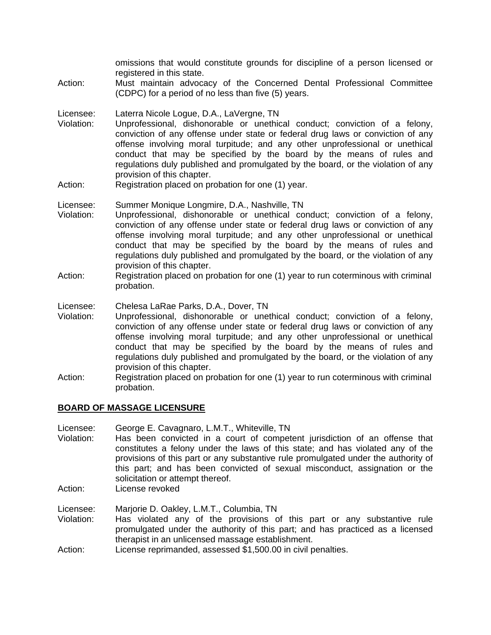omissions that would constitute grounds for discipline of a person licensed or registered in this state.

- Action: Must maintain advocacy of the Concerned Dental Professional Committee (CDPC) for a period of no less than five (5) years.
- Licensee: Laterra Nicole Logue, D.A., LaVergne, TN
- Violation: Unprofessional, dishonorable or unethical conduct; conviction of a felony, conviction of any offense under state or federal drug laws or conviction of any offense involving moral turpitude; and any other unprofessional or unethical conduct that may be specified by the board by the means of rules and regulations duly published and promulgated by the board, or the violation of any provision of this chapter.
- Action: Registration placed on probation for one (1) year.
- Licensee: Summer Monique Longmire, D.A., Nashville, TN
- Violation: Unprofessional, dishonorable or unethical conduct; conviction of a felony, conviction of any offense under state or federal drug laws or conviction of any offense involving moral turpitude; and any other unprofessional or unethical conduct that may be specified by the board by the means of rules and regulations duly published and promulgated by the board, or the violation of any provision of this chapter.
- Action: Registration placed on probation for one (1) year to run coterminous with criminal probation.
- Licensee: Chelesa LaRae Parks, D.A., Dover, TN
- Violation: Unprofessional, dishonorable or unethical conduct; conviction of a felony, conviction of any offense under state or federal drug laws or conviction of any offense involving moral turpitude; and any other unprofessional or unethical conduct that may be specified by the board by the means of rules and regulations duly published and promulgated by the board, or the violation of any provision of this chapter.
- Action: Registration placed on probation for one (1) year to run coterminous with criminal probation.

#### **BOARD OF MASSAGE LICENSURE**

- Licensee: George E. Cavagnaro, L.M.T., Whiteville, TN
- Violation: Has been convicted in a court of competent jurisdiction of an offense that constitutes a felony under the laws of this state; and has violated any of the provisions of this part or any substantive rule promulgated under the authority of this part; and has been convicted of sexual misconduct, assignation or the solicitation or attempt thereof.
- Action: License revoked

Licensee: Marjorie D. Oakley, L.M.T., Columbia, TN

- Violation: Has violated any of the provisions of this part or any substantive rule promulgated under the authority of this part; and has practiced as a licensed therapist in an unlicensed massage establishment.
- Action: License reprimanded, assessed \$1,500.00 in civil penalties.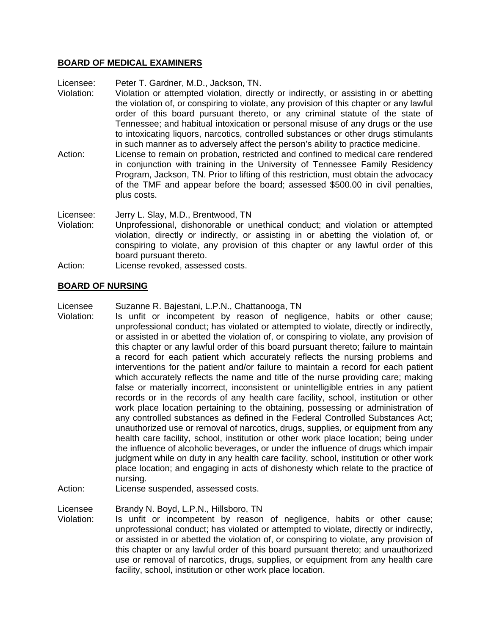### **BOARD OF MEDICAL EXAMINERS**

Licensee: Peter T. Gardner, M.D., Jackson, TN.

- Violation: Violation or attempted violation, directly or indirectly, or assisting in or abetting the violation of, or conspiring to violate, any provision of this chapter or any lawful order of this board pursuant thereto, or any criminal statute of the state of Tennessee; and habitual intoxication or personal misuse of any drugs or the use to intoxicating liquors, narcotics, controlled substances or other drugs stimulants in such manner as to adversely affect the person's ability to practice medicine.
- Action: License to remain on probation, restricted and confined to medical care rendered in conjunction with training in the University of Tennessee Family Residency Program, Jackson, TN. Prior to lifting of this restriction, must obtain the advocacy of the TMF and appear before the board; assessed \$500.00 in civil penalties, plus costs.

Licensee: Jerry L. Slay, M.D., Brentwood, TN

- Violation: Unprofessional, dishonorable or unethical conduct; and violation or attempted violation, directly or indirectly, or assisting in or abetting the violation of, or conspiring to violate, any provision of this chapter or any lawful order of this board pursuant thereto.
- Action: License revoked, assessed costs.

### **BOARD OF NURSING**

Licensee Suzanne R. Bajestani, L.P.N., Chattanooga, TN

- Violation: Is unfit or incompetent by reason of negligence, habits or other cause; unprofessional conduct; has violated or attempted to violate, directly or indirectly, or assisted in or abetted the violation of, or conspiring to violate, any provision of this chapter or any lawful order of this board pursuant thereto; failure to maintain a record for each patient which accurately reflects the nursing problems and interventions for the patient and/or failure to maintain a record for each patient which accurately reflects the name and title of the nurse providing care; making false or materially incorrect, inconsistent or unintelligible entries in any patient records or in the records of any health care facility, school, institution or other work place location pertaining to the obtaining, possessing or administration of any controlled substances as defined in the Federal Controlled Substances Act; unauthorized use or removal of narcotics, drugs, supplies, or equipment from any health care facility, school, institution or other work place location; being under the influence of alcoholic beverages, or under the influence of drugs which impair judgment while on duty in any health care facility, school, institution or other work place location; and engaging in acts of dishonesty which relate to the practice of nursing.
- Action: License suspended, assessed costs.

Licensee Brandy N. Boyd, L.P.N., Hillsboro, TN

Violation: Is unfit or incompetent by reason of negligence, habits or other cause; unprofessional conduct; has violated or attempted to violate, directly or indirectly, or assisted in or abetted the violation of, or conspiring to violate, any provision of this chapter or any lawful order of this board pursuant thereto; and unauthorized use or removal of narcotics, drugs, supplies, or equipment from any health care facility, school, institution or other work place location.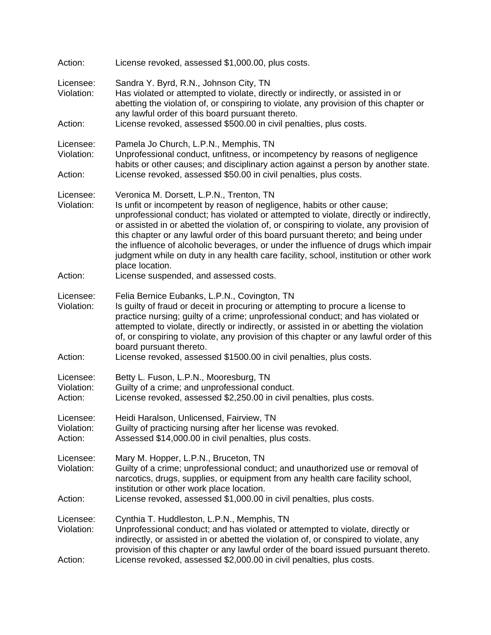| Action:                            | License revoked, assessed \$1,000.00, plus costs.                                                                                                                                                                                                                                                                                                                                                                                                                                                                                                                                            |  |
|------------------------------------|----------------------------------------------------------------------------------------------------------------------------------------------------------------------------------------------------------------------------------------------------------------------------------------------------------------------------------------------------------------------------------------------------------------------------------------------------------------------------------------------------------------------------------------------------------------------------------------------|--|
| Licensee:<br>Violation:            | Sandra Y. Byrd, R.N., Johnson City, TN<br>Has violated or attempted to violate, directly or indirectly, or assisted in or<br>abetting the violation of, or conspiring to violate, any provision of this chapter or<br>any lawful order of this board pursuant thereto.                                                                                                                                                                                                                                                                                                                       |  |
| Action:                            | License revoked, assessed \$500.00 in civil penalties, plus costs.                                                                                                                                                                                                                                                                                                                                                                                                                                                                                                                           |  |
| Licensee:<br>Violation:<br>Action: | Pamela Jo Church, L.P.N., Memphis, TN<br>Unprofessional conduct, unfitness, or incompetency by reasons of negligence<br>habits or other causes; and disciplinary action against a person by another state.<br>License revoked, assessed \$50.00 in civil penalties, plus costs.                                                                                                                                                                                                                                                                                                              |  |
| Licensee:<br>Violation:            | Veronica M. Dorsett, L.P.N., Trenton, TN<br>Is unfit or incompetent by reason of negligence, habits or other cause;<br>unprofessional conduct; has violated or attempted to violate, directly or indirectly,<br>or assisted in or abetted the violation of, or conspiring to violate, any provision of<br>this chapter or any lawful order of this board pursuant thereto; and being under<br>the influence of alcoholic beverages, or under the influence of drugs which impair<br>judgment while on duty in any health care facility, school, institution or other work<br>place location. |  |
| Action:                            | License suspended, and assessed costs.                                                                                                                                                                                                                                                                                                                                                                                                                                                                                                                                                       |  |
| Licensee:<br>Violation:<br>Action: | Felia Bernice Eubanks, L.P.N., Covington, TN<br>Is guilty of fraud or deceit in procuring or attempting to procure a license to<br>practice nursing; guilty of a crime; unprofessional conduct; and has violated or<br>attempted to violate, directly or indirectly, or assisted in or abetting the violation<br>of, or conspiring to violate, any provision of this chapter or any lawful order of this<br>board pursuant thereto.<br>License revoked, assessed \$1500.00 in civil penalties, plus costs.                                                                                   |  |
| Licensee:<br>Violation:<br>Action: | Betty L. Fuson, L.P.N., Mooresburg, TN<br>Guilty of a crime; and unprofessional conduct.<br>License revoked, assessed \$2,250.00 in civil penalties, plus costs.                                                                                                                                                                                                                                                                                                                                                                                                                             |  |
| Licensee:<br>Violation:<br>Action: | Heidi Haralson, Unlicensed, Fairview, TN<br>Guilty of practicing nursing after her license was revoked.<br>Assessed \$14,000.00 in civil penalties, plus costs.                                                                                                                                                                                                                                                                                                                                                                                                                              |  |
| Licensee:<br>Violation:            | Mary M. Hopper, L.P.N., Bruceton, TN<br>Guilty of a crime; unprofessional conduct; and unauthorized use or removal of<br>narcotics, drugs, supplies, or equipment from any health care facility school,<br>institution or other work place location.                                                                                                                                                                                                                                                                                                                                         |  |
| Action:                            | License revoked, assessed \$1,000.00 in civil penalties, plus costs.                                                                                                                                                                                                                                                                                                                                                                                                                                                                                                                         |  |
| Licensee:<br>Violation:<br>Action: | Cynthia T. Huddleston, L.P.N., Memphis, TN<br>Unprofessional conduct; and has violated or attempted to violate, directly or<br>indirectly, or assisted in or abetted the violation of, or conspired to violate, any<br>provision of this chapter or any lawful order of the board issued pursuant thereto.<br>License revoked, assessed \$2,000.00 in civil penalties, plus costs.                                                                                                                                                                                                           |  |
|                                    |                                                                                                                                                                                                                                                                                                                                                                                                                                                                                                                                                                                              |  |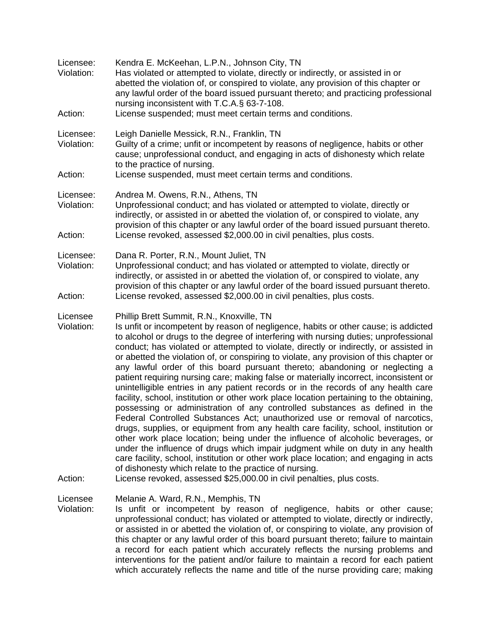| Licensee:<br>Violation:<br>Action: | Kendra E. McKeehan, L.P.N., Johnson City, TN<br>Has violated or attempted to violate, directly or indirectly, or assisted in or<br>abetted the violation of, or conspired to violate, any provision of this chapter or<br>any lawful order of the board issued pursuant thereto; and practicing professional<br>nursing inconsistent with T.C.A.§ 63-7-108.<br>License suspended; must meet certain terms and conditions.                                                                                                                                                                                                                                                                                                                                                                                                                                                                                                                                                                                                                                                                                                                                                                                                                                                                                                                                                                                                    |
|------------------------------------|------------------------------------------------------------------------------------------------------------------------------------------------------------------------------------------------------------------------------------------------------------------------------------------------------------------------------------------------------------------------------------------------------------------------------------------------------------------------------------------------------------------------------------------------------------------------------------------------------------------------------------------------------------------------------------------------------------------------------------------------------------------------------------------------------------------------------------------------------------------------------------------------------------------------------------------------------------------------------------------------------------------------------------------------------------------------------------------------------------------------------------------------------------------------------------------------------------------------------------------------------------------------------------------------------------------------------------------------------------------------------------------------------------------------------|
| Licensee:<br>Violation:            | Leigh Danielle Messick, R.N., Franklin, TN<br>Guilty of a crime; unfit or incompetent by reasons of negligence, habits or other<br>cause; unprofessional conduct, and engaging in acts of dishonesty which relate<br>to the practice of nursing.                                                                                                                                                                                                                                                                                                                                                                                                                                                                                                                                                                                                                                                                                                                                                                                                                                                                                                                                                                                                                                                                                                                                                                             |
| Action:                            | License suspended, must meet certain terms and conditions.                                                                                                                                                                                                                                                                                                                                                                                                                                                                                                                                                                                                                                                                                                                                                                                                                                                                                                                                                                                                                                                                                                                                                                                                                                                                                                                                                                   |
| Licensee:<br>Violation:<br>Action: | Andrea M. Owens, R.N., Athens, TN<br>Unprofessional conduct; and has violated or attempted to violate, directly or<br>indirectly, or assisted in or abetted the violation of, or conspired to violate, any<br>provision of this chapter or any lawful order of the board issued pursuant thereto.<br>License revoked, assessed \$2,000.00 in civil penalties, plus costs.                                                                                                                                                                                                                                                                                                                                                                                                                                                                                                                                                                                                                                                                                                                                                                                                                                                                                                                                                                                                                                                    |
| Licensee:<br>Violation:<br>Action: | Dana R. Porter, R.N., Mount Juliet, TN<br>Unprofessional conduct; and has violated or attempted to violate, directly or<br>indirectly, or assisted in or abetted the violation of, or conspired to violate, any<br>provision of this chapter or any lawful order of the board issued pursuant thereto.<br>License revoked, assessed \$2,000.00 in civil penalties, plus costs.                                                                                                                                                                                                                                                                                                                                                                                                                                                                                                                                                                                                                                                                                                                                                                                                                                                                                                                                                                                                                                               |
|                                    |                                                                                                                                                                                                                                                                                                                                                                                                                                                                                                                                                                                                                                                                                                                                                                                                                                                                                                                                                                                                                                                                                                                                                                                                                                                                                                                                                                                                                              |
| Licensee<br>Violation:<br>Action:  | Phillip Brett Summit, R.N., Knoxville, TN<br>Is unfit or incompetent by reason of negligence, habits or other cause; is addicted<br>to alcohol or drugs to the degree of interfering with nursing duties; unprofessional<br>conduct; has violated or attempted to violate, directly or indirectly, or assisted in<br>or abetted the violation of, or conspiring to violate, any provision of this chapter or<br>any lawful order of this board pursuant thereto; abandoning or neglecting a<br>patient requiring nursing care; making false or materially incorrect, inconsistent or<br>unintelligible entries in any patient records or in the records of any health care<br>facility, school, institution or other work place location pertaining to the obtaining,<br>possessing or administration of any controlled substances as defined in the<br>Federal Controlled Substances Act; unauthorized use or removal of narcotics,<br>drugs, supplies, or equipment from any health care facility, school, institution or<br>other work place location; being under the influence of alcoholic beverages, or<br>under the influence of drugs which impair judgment while on duty in any health<br>care facility, school, institution or other work place location; and engaging in acts<br>of dishonesty which relate to the practice of nursing.<br>License revoked, assessed \$25,000.00 in civil penalties, plus costs. |
|                                    |                                                                                                                                                                                                                                                                                                                                                                                                                                                                                                                                                                                                                                                                                                                                                                                                                                                                                                                                                                                                                                                                                                                                                                                                                                                                                                                                                                                                                              |
| Licensee<br>Violation:             | Melanie A. Ward, R.N., Memphis, TN<br>Is unfit or incompetent by reason of negligence, habits or other cause;<br>unprofessional conduct; has violated or attempted to violate, directly or indirectly,<br>or assisted in or abetted the violation of, or conspiring to violate, any provision of<br>this chapter or any lawful order of this board pursuant thereto; failure to maintain<br>a record for each patient which accurately reflects the nursing problems and<br>interventions for the patient and/or failure to maintain a record for each patient<br>which accurately reflects the name and title of the nurse providing care; making                                                                                                                                                                                                                                                                                                                                                                                                                                                                                                                                                                                                                                                                                                                                                                           |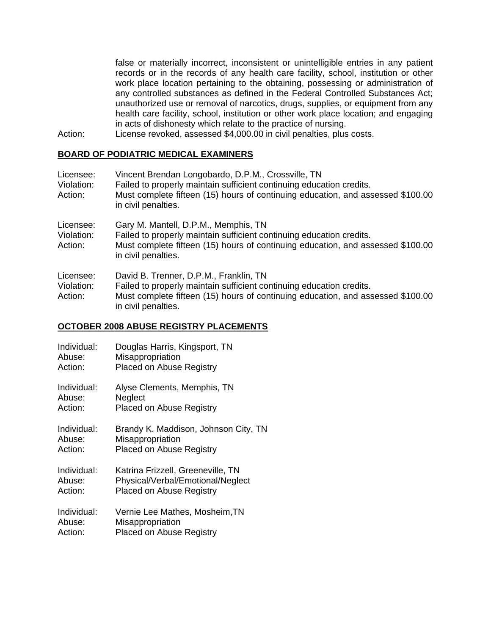false or materially incorrect, inconsistent or unintelligible entries in any patient records or in the records of any health care facility, school, institution or other work place location pertaining to the obtaining, possessing or administration of any controlled substances as defined in the Federal Controlled Substances Act; unauthorized use or removal of narcotics, drugs, supplies, or equipment from any health care facility, school, institution or other work place location; and engaging in acts of dishonesty which relate to the practice of nursing.

Action: License revoked, assessed \$4,000.00 in civil penalties, plus costs.

## **BOARD OF PODIATRIC MEDICAL EXAMINERS**

| Licensee:<br>Violation:<br>Action: | Vincent Brendan Longobardo, D.P.M., Crossville, TN<br>Failed to properly maintain sufficient continuing education credits.<br>Must complete fifteen (15) hours of continuing education, and assessed \$100.00<br>in civil penalties. |
|------------------------------------|--------------------------------------------------------------------------------------------------------------------------------------------------------------------------------------------------------------------------------------|
| Licensee:<br>Violation:<br>Action: | Gary M. Mantell, D.P.M., Memphis, TN<br>Failed to properly maintain sufficient continuing education credits.<br>Must complete fifteen (15) hours of continuing education, and assessed \$100.00<br>in civil penalties.               |
| Licensee:<br>Violation:<br>Action: | David B. Trenner, D.P.M., Franklin, TN<br>Failed to properly maintain sufficient continuing education credits.<br>Must complete fifteen (15) hours of continuing education, and assessed \$100.00<br>in civil penalties.             |

#### **OCTOBER 2008 ABUSE REGISTRY PLACEMENTS**

| Individual: | Douglas Harris, Kingsport, TN        |
|-------------|--------------------------------------|
| Abuse:      | Misappropriation                     |
| Action:     | <b>Placed on Abuse Registry</b>      |
| Individual: | Alyse Clements, Memphis, TN          |
| Abuse:      | Neglect                              |
| Action:     | Placed on Abuse Registry             |
| Individual: | Brandy K. Maddison, Johnson City, TN |
| Abuse:      | Misappropriation                     |
| Action:     | <b>Placed on Abuse Registry</b>      |
| Individual: | Katrina Frizzell, Greeneville, TN    |
| Abuse:      | Physical/Verbal/Emotional/Neglect    |
| Action:     | <b>Placed on Abuse Registry</b>      |
| Individual: | Vernie Lee Mathes, Mosheim, TN       |
| Abuse:      | Misappropriation                     |
| Action:     | <b>Placed on Abuse Registry</b>      |